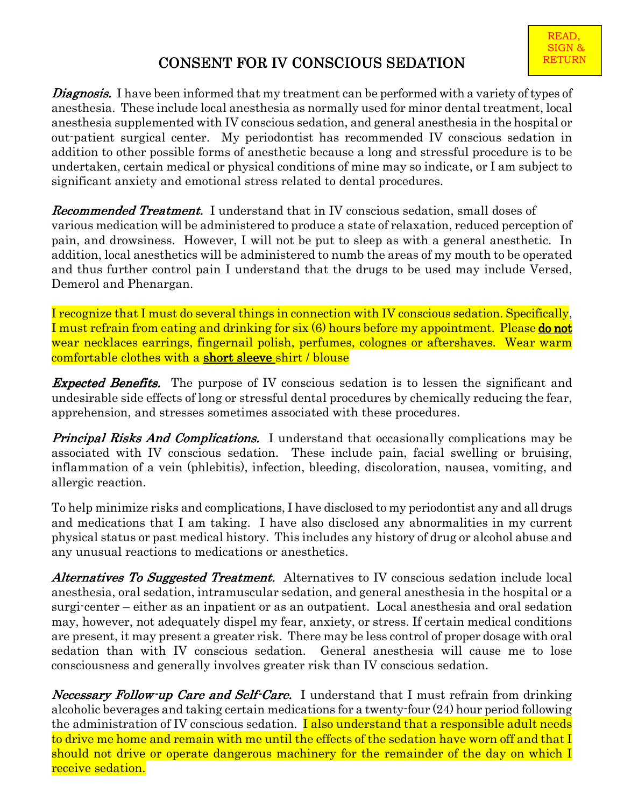## CONSENT FOR IV CONSCIOUS SEDATION

**Diagnosis.** I have been informed that my treatment can be performed with a variety of types of anesthesia. These include local anesthesia as normally used for minor dental treatment, local anesthesia supplemented with IV conscious sedation, and general anesthesia in the hospital or out-patient surgical center. My periodontist has recommended IV conscious sedation in addition to other possible forms of anesthetic because a long and stressful procedure is to be undertaken, certain medical or physical conditions of mine may so indicate, or I am subject to significant anxiety and emotional stress related to dental procedures.

**Recommended Treatment.** I understand that in IV conscious sedation, small doses of various medication will be administered to produce a state of relaxation, reduced perception of pain, and drowsiness. However, I will not be put to sleep as with a general anesthetic. In addition, local anesthetics will be administered to numb the areas of my mouth to be operated and thus further control pain I understand that the drugs to be used may include Versed, Demerol and Phenargan.

I recognize that I must do several things in connection with IV conscious sedation. Specifically, I must refrain from eating and drinking for six (6) hours before my appointment. Please do not wear necklaces earrings, fingernail polish, perfumes, colognes or aftershaves. Wear warm <u>comfortable clothes with a **short sleeve** shirt / blouse</u>

**Expected Benefits.** The purpose of IV conscious sedation is to lessen the significant and undesirable side effects of long or stressful dental procedures by chemically reducing the fear, apprehension, and stresses sometimes associated with these procedures.

**Principal Risks And Complications.** I understand that occasionally complications may be associated with IV conscious sedation. These include pain, facial swelling or bruising, inflammation of a vein (phlebitis), infection, bleeding, discoloration, nausea, vomiting, and allergic reaction.

To help minimize risks and complications, I have disclosed to my periodontist any and all drugs and medications that I am taking. I have also disclosed any abnormalities in my current physical status or past medical history. This includes any history of drug or alcohol abuse and any unusual reactions to medications or anesthetics.

Alternatives To Suggested Treatment. Alternatives to IV conscious sedation include local anesthesia, oral sedation, intramuscular sedation, and general anesthesia in the hospital or a surgi-center – either as an inpatient or as an outpatient. Local anesthesia and oral sedation may, however, not adequately dispel my fear, anxiety, or stress. If certain medical conditions are present, it may present a greater risk. There may be less control of proper dosage with oral sedation than with IV conscious sedation. General anesthesia will cause me to lose consciousness and generally involves greater risk than IV conscious sedation.

Necessary Follow-up Care and Self-Care. I understand that I must refrain from drinking alcoholic beverages and taking certain medications for a twenty-four (24) hour period following the administration of IV conscious sedation. **I also understand that a responsible adult needs** to drive me home and remain with me until the effects of the sedation have worn off and that I should not drive or operate dangerous machinery for the remainder of the day on which I receive sedation.